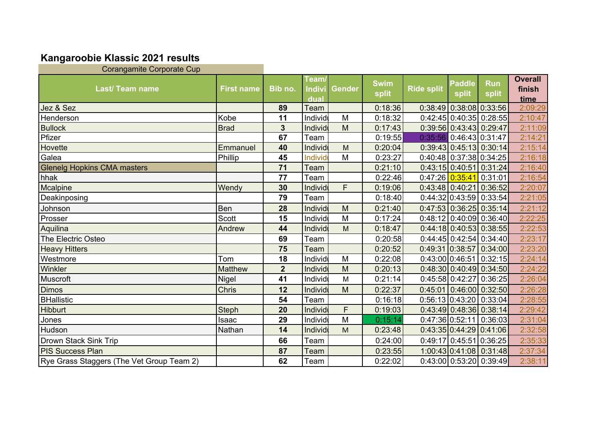## **Kangaroobie Klassic 2021 results**

| Corangamite Corporate Cup                 |                   |                |                                |               |                      |                   |                        |                           |                                  |
|-------------------------------------------|-------------------|----------------|--------------------------------|---------------|----------------------|-------------------|------------------------|---------------------------|----------------------------------|
| <b>Last/Team name</b>                     | <b>First name</b> | Bib no.        | Team/<br><b>Indivi</b><br>dual | <b>Gender</b> | <b>Swim</b><br>split | <b>Ride split</b> | <b>Paddle</b><br>split | <b>Run</b><br>split       | <b>Overall</b><br>finish<br>time |
| Jez & Sez                                 |                   | 89             | Team                           |               | 0:18:36              |                   |                        | $0:38:49$ 0:38:08 0:33:56 | 2:09:29                          |
| Henderson                                 | Kobe              | 11             | Individ                        | M             | 0:18:32              |                   |                        | $0:42:45$ 0:40:35 0:28:55 | 2:10:47                          |
| <b>Bullock</b>                            | <b>Brad</b>       | $\overline{3}$ | Individi                       | M             | 0:17:43              |                   |                        | $0:39:56$ 0:43:43 0:29:47 | 2:11:09                          |
| Pfizer                                    |                   | 67             | Team                           |               | 0:19:55              |                   |                        | $0:35:56$ 0:46:43 0:31:47 | 2:14:21                          |
| Hovette                                   | Emmanuel          | 40             | Individ                        | M             | 0:20:04              |                   |                        | $0:39:43$ 0:45:13 0:30:14 | 2:15:14                          |
| Galea                                     | Phillip           | 45             | <b>Individ</b>                 | M             | 0:23:27              |                   |                        | $0:40:48$ 0:37:38 0:34:25 | 2:16:18                          |
| <b>Glenelg Hopkins CMA masters</b>        |                   | 71             | Team                           |               | 0:21:10              |                   |                        | $0:43:15$ 0:40:51 0:31:24 | 2:16:40                          |
| hhak                                      |                   | 77             | Team                           |               | 0:22:46              |                   |                        | 0:47:26 0:35:41 0:31:01   | 2:16:54                          |
| Mcalpine                                  | Wendy             | 30             | Individi                       | F             | 0:19:06              |                   |                        | 0:43:48 0:40:21 0:36:52   | 2:20:07                          |
| Deakinposing                              |                   | 79             | Team                           |               | 0:18:40              |                   |                        | 0:44:32 0:43:59 0:33:54   | 2:21:05                          |
| Johnson                                   | Ben               | 28             | Individ                        | M             | 0:21:40              |                   |                        | $0:47:53$ 0:36:25 0:35:14 | 2:21:12                          |
| Prosser                                   | Scott             | 15             | Individi                       | M             | 0:17:24              |                   |                        | $0:48:12$ 0:40:09 0:36:40 | 2:22:25                          |
| Aquilina                                  | Andrew            | 44             | Individi                       | M             | 0:18:47              |                   |                        | $0:44:18$ 0:40:53 0:38:55 | 2:22:53                          |
| The Electric Osteo                        |                   | 69             | Team                           |               | 0:20:58              |                   |                        | $0:44:45$ 0:42:54 0:34:40 | 2:23:17                          |
| <b>Heavy Hitters</b>                      |                   | 75             | Team                           |               | 0:20:52              |                   |                        | $0:49:31$ 0:38:57 0:34:00 | 2:23:20                          |
| Westmore                                  | Tom               | 18             | Individ                        | M             | 0:22:08              |                   |                        | $0:43:00$ 0:46:51 0:32:15 | 2:24:14                          |
| Winkler                                   | <b>Matthew</b>    | $\overline{2}$ | Individi                       | M             | 0:20:13              |                   |                        | $0:48:30$ 0:40:49 0:34:50 | 2:24:22                          |
| Muscroft                                  | Nigel             | 41             | Individ                        | M             | 0:21:14              |                   |                        | $0:45:58$ 0:42:27 0:36:25 | 2:26:04                          |
| <b>Dimos</b>                              | Chris             | 12             | Individi                       | M             | 0:22:37              |                   |                        | $0:45:01$ 0:46:00 0:32:50 | 2:26:28                          |
| <b>BHallistic</b>                         |                   | 54             | Team                           |               | 0:16:18              |                   |                        | $0:56:13$ 0:43:20 0:33:04 | 2:28:55                          |
| <b>Hibburt</b>                            | <b>Steph</b>      | 20             | Individi                       | F.            | 0:19:03              |                   |                        | $0:43:49$ 0:48:36 0:38:14 | 2:29:42                          |
| Jones                                     | <b>Isaac</b>      | 29             | Individ                        | M             | 0:15:14              |                   |                        | 0:47:36 0:52:11 0:36:03   | 2:31:04                          |
| Hudson                                    | Nathan            | 14             | Individ                        | M             | 0:23:48              |                   |                        | $0:43:35$ 0:44:29 0:41:06 | 2:32:58                          |
| Drown Stack Sink Trip                     |                   | 66             | Team                           |               | 0:24:00              |                   |                        | $0:49:17$ 0:45:51 0:36:25 | 2:35:33                          |
| <b>PIS Success Plan</b>                   |                   | 87             | Team                           |               | 0:23:55              |                   |                        | 1:00:43 0:41:08 0:31:48   | 2:37:34                          |
| Rye Grass Staggers (The Vet Group Team 2) |                   | 62             | Team                           |               | 0:22:02              |                   |                        | $0:43:00$ 0:53:20 0:39:49 | 2:38:11                          |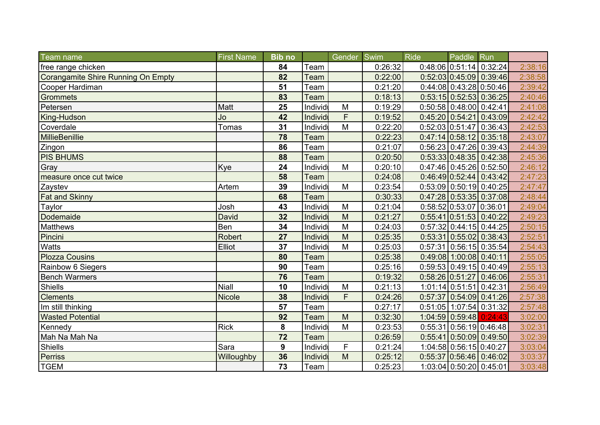| Team name                          | <b>First Name</b> | <b>Bib no</b> |          | Gender Swim |         | <b>Ride</b> | Paddle Run                |                           |         |
|------------------------------------|-------------------|---------------|----------|-------------|---------|-------------|---------------------------|---------------------------|---------|
| free range chicken                 |                   | 84            | Team     |             | 0:26:32 |             |                           | $0:48:06$ 0:51:14 0:32:24 | 2:38:16 |
| Corangamite Shire Running On Empty |                   | 82            | Team     |             | 0:22:00 |             |                           | $0:52:03$ 0:45:09 0:39:46 | 2:38:58 |
| Cooper Hardiman                    |                   | 51            | Team     |             | 0:21:20 |             |                           | $0:44:08$ 0:43:28 0:50:46 | 2:39:42 |
| Grommets                           |                   | 83            | Team     |             | 0:18:13 |             |                           | $0:53:15$ 0:52:53 0:36:25 | 2:40:46 |
| Petersen                           | Matt              | 25            | Individ  | M           | 0:19:29 |             |                           | $0:50:58$ 0:48:00 0:42:41 | 2:41:08 |
| King-Hudson                        | Jo                | 42            | Individi | F           | 0:19:52 |             |                           | $0:45:20$ 0:54:21 0:43:09 | 2:42:42 |
| Coverdale                          | Tomas             | 31            | Individ  | M           | 0:22:20 |             |                           | $0:52:03$ 0:51:47 0:36:43 | 2:42:53 |
| MillieBenillie                     |                   | 78            | Team     |             | 0:22:23 |             |                           | $0:47:14$ 0:58:12 0:35:18 | 2:43:07 |
| Zingon                             |                   | 86            | Team     |             | 0:21:07 |             |                           | $0:56:23$ 0:47:26 0:39:43 | 2:44:39 |
| <b>PIS BHUMS</b>                   |                   | 88            | Team     |             | 0:20:50 |             |                           | $0:53:33$ 0:48:35 0:42:38 | 2:45:36 |
| Gray                               | Kye               | 24            | Individ  | M           | 0:20:10 |             |                           | $0:47:46$ 0:45:26 0:52:50 | 2:46:12 |
| measure once cut twice             |                   | 58            | Team     |             | 0:24:08 |             |                           | $0:46:49$ 0:52:44 0:43:42 | 2:47:23 |
| Zaystev                            | Artem             | 39            | Individ  | M           | 0:23:54 |             |                           | $0:53:09$ 0:50:19 0:40:25 | 2:47:47 |
| <b>Fat and Skinny</b>              |                   | 68            | Team     |             | 0:30:33 |             |                           | 0:47:28 0:53:35 0:37:08   | 2:48:44 |
| Taylor                             | Josh              | 43            | Individ  | M           | 0:21:04 |             | $0:58:52$ 0:53:07 0:36:01 |                           | 2:49:04 |
| Dodemaide                          | David             | 32            | Individ  | M           | 0:21:27 |             |                           | $0:55:41$ 0:51:53 0:40:22 | 2:49:23 |
| <b>Matthews</b>                    | Ben               | 34            | Individ  | M           | 0:24:03 |             |                           | $0:57:32$ 0:44:15 0:44:25 | 2:50:15 |
| Pincini                            | Robert            | 27            | Individi | M           | 0:25:35 |             |                           | $0:53:31$ 0:55:02 0:38:43 | 2:52:51 |
| Watts                              | Elliot            | 37            | Individ  | M           | 0:25:03 |             |                           | $0:57:31$ 0:56:15 0:35:54 | 2:54:43 |
| <b>Plozza Cousins</b>              |                   | 80            | Team     |             | 0:25:38 |             |                           | $0:49:08$ 1:00:08 0:40:11 | 2:55:05 |
| Rainbow 6 Siegers                  |                   | 90            | Team     |             | 0:25:16 |             |                           | $0:59:53$ 0:49:15 0:40:49 | 2:55:13 |
| <b>Bench Warmers</b>               |                   | 76            | Team     |             | 0:19:32 |             |                           | $0:58:26$ 0:51:27 0:46:06 | 2:55:31 |
| Shiells                            | <b>Niall</b>      | 10            | Individ  | M           | 0:21:13 |             |                           | 1:01:14 0:51:51 0:42:31   | 2:56:49 |
| <b>Clements</b>                    | <b>Nicole</b>     | 38            | Individi | F           | 0:24:26 |             |                           | $0:57:37$ 0:54:09 0:41:26 | 2:57:38 |
| Im still thinking                  |                   | 57            | Team     |             | 0:27:17 |             |                           | $0:51:05$ 1:07:54 0:31:32 | 2:57:48 |
| <b>Wasted Potential</b>            |                   | 92            | Team     | M           | 0:32:30 |             |                           | 1:04:59 0:59:48 0:24:43   | 3:02:00 |
| Kennedy                            | <b>Rick</b>       | 8             | Individi | M           | 0:23:53 |             |                           | 0:55:31 0:56:19 0:46:48   | 3:02:31 |
| Mah Na Mah Na                      |                   | 72            | Team     |             | 0:26:59 |             |                           | $0:55:41$ 0:50:09 0:49:50 | 3:02:39 |
| <b>Shiells</b>                     | Sara              | 9             | Individ  | F           | 0:21:24 |             |                           | 1:04:58 0:56:15 0:40:27   | 3:03:04 |
| Perriss                            | Willoughby        | 36            | Individ  | M           | 0:25:12 |             |                           | $0:55:37$ 0:56:46 0:46:02 | 3:03:37 |
| <b>TGEM</b>                        |                   | 73            | Team     |             | 0:25:23 |             |                           | 1:03:04 0:50:20 0:45:01   | 3:03:48 |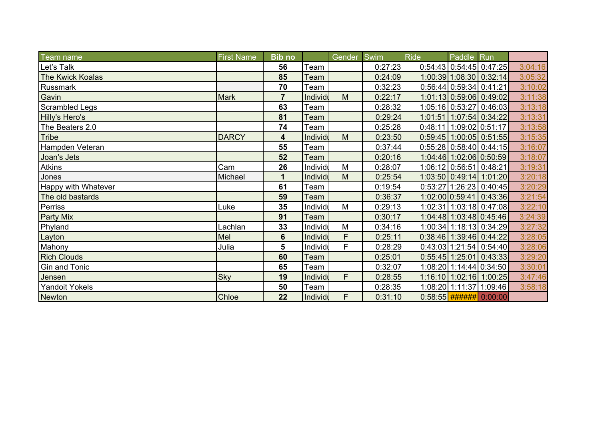| Team name               | <b>First Name</b> | <b>Bib no</b>  |          | Gender Swim |         | <b>Ride</b> | Paddle Run |                               |         |
|-------------------------|-------------------|----------------|----------|-------------|---------|-------------|------------|-------------------------------|---------|
| Let's Talk              |                   | 56             | Team     |             | 0:27:23 |             |            | $0:54:43$ 0:54:45 0:47:25     | 3:04:16 |
| <b>The Kwick Koalas</b> |                   | 85             | Team     |             | 0:24:09 |             |            | $1:00:39$ 1:08:30 0:32:14     | 3:05:32 |
| Russmark                |                   | 70             | Team     |             | 0:32:23 |             |            | $0:56:44$ 0:59:34 0:41:21     | 3:10:02 |
| Gavin                   | <b>Mark</b>       | $\overline{7}$ | Individ  | M           | 0:22:17 |             |            | 1:01:13 0:59:06 0:49:02       | 3:11:38 |
| <b>Scrambled Legs</b>   |                   | 63             | Team     |             | 0:28:32 |             |            | 1:05:16 0:53:27 0:46:03       | 3:13:18 |
| <b>Hilly's Hero's</b>   |                   | 81             | Team     |             | 0:29:24 |             |            | 1:01:51 1:07:54 0:34:22       | 3:13:31 |
| The Beaters 2.0         |                   | 74             | Team     |             | 0:25:28 |             |            | $0:48:11$   1:09:02 0:51:17   | 3:13:58 |
| Tribe                   | <b>DARCY</b>      | 4              | Individi | M           | 0:23:50 |             |            | $0:59:45$ 1:00:05 0:51:55     | 3:15:35 |
| Hampden Veteran         |                   | 55             | Team     |             | 0:37:44 |             |            | $0:55:28$ 0:58:40 0:44:15     | 3:16:07 |
| Joan's Jets             |                   | 52             | Team     |             | 0:20:16 |             |            | 1:04:46 1:02:06 0:50:59       | 3:18:07 |
| <b>Atkins</b>           | Cam               | 26             | Individ  | M           | 0:28:07 |             |            | 1:06:12 0:56:51 0:48:21       | 3:19:31 |
| Jones                   | Michael           |                | Individ  | M           | 0:25:54 |             |            | 1:03:50 0:49:14 1:01:20       | 3:20:18 |
| Happy with Whatever     |                   | 61             | Team     |             | 0:19:54 |             |            | 0:53:27 1:26:23 0:40:45       | 3:20:29 |
| The old bastards        |                   | 59             | Team     |             | 0:36:37 |             |            | 1:02:00 0:59:41 0:43:36       | 3:21:54 |
| Perriss                 | Luke              | 35             | Individ  | M           | 0:29:13 |             |            | 1:02:31 1:03:18 0:47:08       | 3:22:10 |
| <b>Party Mix</b>        |                   | 91             | Team     |             | 0:30:17 |             |            | 1:04:48 1:03:48 0:45:46       | 3:24:39 |
| Phyland                 | Lachlan           | 33             | Individ  | M           | 0:34:16 |             |            | 1:00:34 1:18:13 0:34:29       | 3:27:32 |
| Layton                  | Mel               | $6\phantom{1}$ | Individ  | F           | 0:25:11 |             |            | $0:38:46$   1:39:46   0:44:22 | 3:28:05 |
| Mahony                  | Julia             | 5              | Individ  | F.          | 0:28:29 |             |            | $0:43:03$ 1:21:54 0:54:40     | 3:28:06 |
| <b>Rich Clouds</b>      |                   | 60             | Team     |             | 0:25:01 |             |            | $0:55:45$ 1:25:01 0:43:33     | 3:29:20 |
| <b>Gin and Tonic</b>    |                   | 65             | Team     |             | 0:32:07 |             |            | 1:08:20 1:14:44 0:34:50       | 3:30:01 |
| Jensen                  | Sky               | 19             | Individ  | F.          | 0:28:55 |             |            | 1:16:10 1:02:16 1:00:25       | 3:47:46 |
| <b>Yandoit Yokels</b>   |                   | 50             | Team     |             | 0:28:35 |             |            | 1:08:20 1:11:37 1:09:46       | 3:58:18 |
| <b>Newton</b>           | Chloe             | 22             | Individi | F.          | 0:31:10 |             |            | $0:58:55$ ###### 0:00:00      |         |